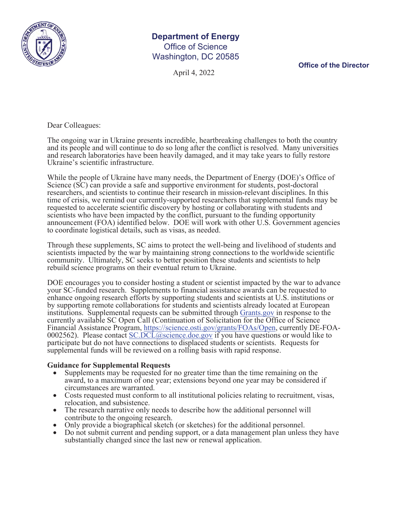

## **Department of Energy**  Office of Science Washington, DC 20585

April 4, 2022

**Office of the Director**

Dear Colleagues:

The ongoing war in Ukraine presents incredible, heartbreaking challenges to both the country and its people and will continue to do so long after the conflict is resolved. Many universities and research laboratories have been heavily damaged, and it may take years to fully restore Ukraine's scientific infrastructure.

While the people of Ukraine have many needs, the Department of Energy (DOE)'s Office of Science (SC) can provide a safe and supportive environment for students, post-doctoral researchers, and scientists to continue their research in mission-relevant disciplines. In this time of crisis, we remind our currently-supported researchers that supplemental funds may be requested to accelerate scientific discovery by hosting or collaborating with students and scientists who have been impacted by the conflict, pursuant to the funding opportunity announcement (FOA) identified below. DOE will work with other U.S. Government agencies to coordinate logistical details, such as visas, as needed.

Through these supplements, SC aims to protect the well-being and livelihood of students and scientists impacted by the war by maintaining strong connections to the worldwide scientific community. Ultimately, SC seeks to better position these students and scientists to help rebuild science programs on their eventual return to Ukraine.

DOE encourages you to consider hosting a student or scientist impacted by the war to advance your SC-funded research. Supplements to financial assistance awards can be requested to enhance ongoing research efforts by supporting students and scientists at U.S. institutions or by supporting remote collaborations for students and scientists already located at European institutions. Supplemental requests can be submitted through Grants.gov in response to the currently available SC Open Call (Continuation of Solicitation for the Office of Science Financial Assistance Program, https://science.osti.gov/grants/FOAs/Open, currently DE-FOA-0002562). Please contact SC.DCL@science.doe.gov if you have questions or would like to participate but do not have connections to displaced students or scientists. Requests for supplemental funds will be reviewed on a rolling basis with rapid response.

## **Guidance for Supplemental Requests**

- Supplements may be requested for no greater time than the time remaining on the award, to a maximum of one year; extensions beyond one year may be considered if circumstances are warranted.<br>Costs requested must conform to all institutional policies relating to recruitment, visas,
- relocation, and subsistence.<br>• The research narrative only needs to describe how the additional personnel will
- 
- 
- Only provide a biographical sketch (or sketches) for the additional personnel.<br>• Do not submit current and pending support, or a data management plan unless they have substantially changed since the last new or renewal application.